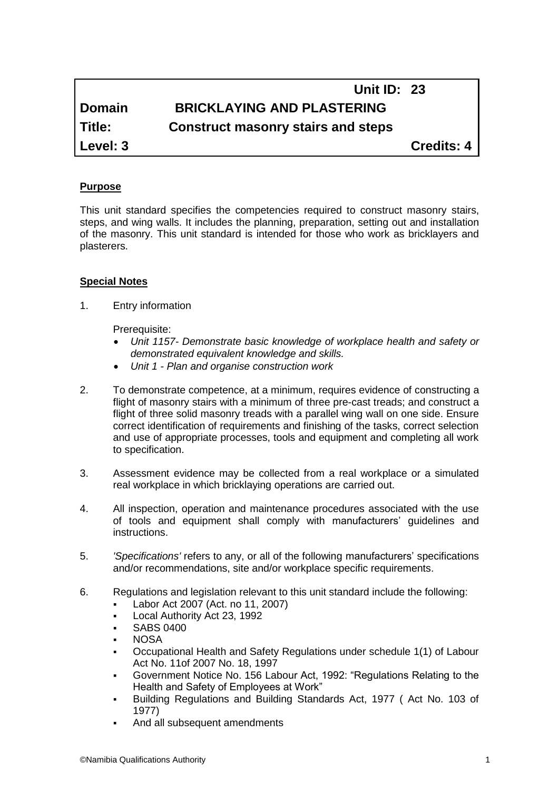# **Unit ID: 23 Domain BRICKLAYING AND PLASTERING Title: Construct masonry stairs and steps**

**Level: 3 Credits: 4**

## **Purpose**

This unit standard specifies the competencies required to construct masonry stairs, steps, and wing walls. It includes the planning, preparation, setting out and installation of the masonry. This unit standard is intended for those who work as bricklayers and plasterers.

## **Special Notes**

1. Entry information

Prerequisite:

- *Unit 1157- Demonstrate basic knowledge of workplace health and safety or demonstrated equivalent knowledge and skills.*
- *Unit 1 - Plan and organise construction work*
- 2. To demonstrate competence, at a minimum, requires evidence of constructing a flight of masonry stairs with a minimum of three pre-cast treads; and construct a flight of three solid masonry treads with a parallel wing wall on one side. Ensure correct identification of requirements and finishing of the tasks, correct selection and use of appropriate processes, tools and equipment and completing all work to specification.
- 3. Assessment evidence may be collected from a real workplace or a simulated real workplace in which bricklaying operations are carried out.
- 4. All inspection, operation and maintenance procedures associated with the use of tools and equipment shall comply with manufacturers' guidelines and instructions.
- 5. *'Specifications'* refers to any, or all of the following manufacturers' specifications and/or recommendations, site and/or workplace specific requirements.
- 6. Regulations and legislation relevant to this unit standard include the following:
	- Labor Act 2007 (Act. no 11, 2007)
	- Local Authority Act 23, 1992
	- SABS 0400
	- **NOSA**
	- Occupational Health and Safety Regulations under schedule 1(1) of Labour Act No. 11of 2007 No. 18, 1997
	- Government Notice No. 156 Labour Act, 1992: "Regulations Relating to the Health and Safety of Employees at Work"
	- Building Regulations and Building Standards Act, 1977 ( Act No. 103 of 1977)
	- And all subsequent amendments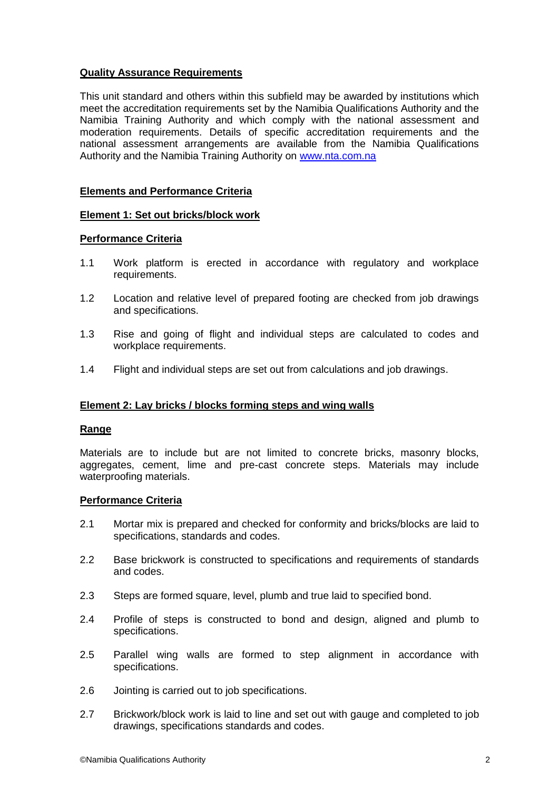## **Quality Assurance Requirements**

This unit standard and others within this subfield may be awarded by institutions which meet the accreditation requirements set by the Namibia Qualifications Authority and the Namibia Training Authority and which comply with the national assessment and moderation requirements. Details of specific accreditation requirements and the national assessment arrangements are available from the Namibia Qualifications Authority and the Namibia Training Authority on [www.nta.com.na](http://www.nta.com.na/)

### **Elements and Performance Criteria**

#### **Element 1: Set out bricks/block work**

#### **Performance Criteria**

- 1.1 Work platform is erected in accordance with regulatory and workplace requirements.
- 1.2 Location and relative level of prepared footing are checked from job drawings and specifications.
- 1.3 Rise and going of flight and individual steps are calculated to codes and workplace requirements.
- 1.4 Flight and individual steps are set out from calculations and job drawings.

## **Element 2: Lay bricks / blocks forming steps and wing walls**

#### **Range**

Materials are to include but are not limited to concrete bricks, masonry blocks, aggregates, cement, lime and pre-cast concrete steps. Materials may include waterproofing materials.

#### **Performance Criteria**

- 2.1 Mortar mix is prepared and checked for conformity and bricks/blocks are laid to specifications, standards and codes.
- 2.2 Base brickwork is constructed to specifications and requirements of standards and codes.
- 2.3 Steps are formed square, level, plumb and true laid to specified bond.
- 2.4 Profile of steps is constructed to bond and design, aligned and plumb to specifications.
- 2.5 Parallel wing walls are formed to step alignment in accordance with specifications.
- 2.6 Jointing is carried out to job specifications.
- 2.7 Brickwork/block work is laid to line and set out with gauge and completed to job drawings, specifications standards and codes.